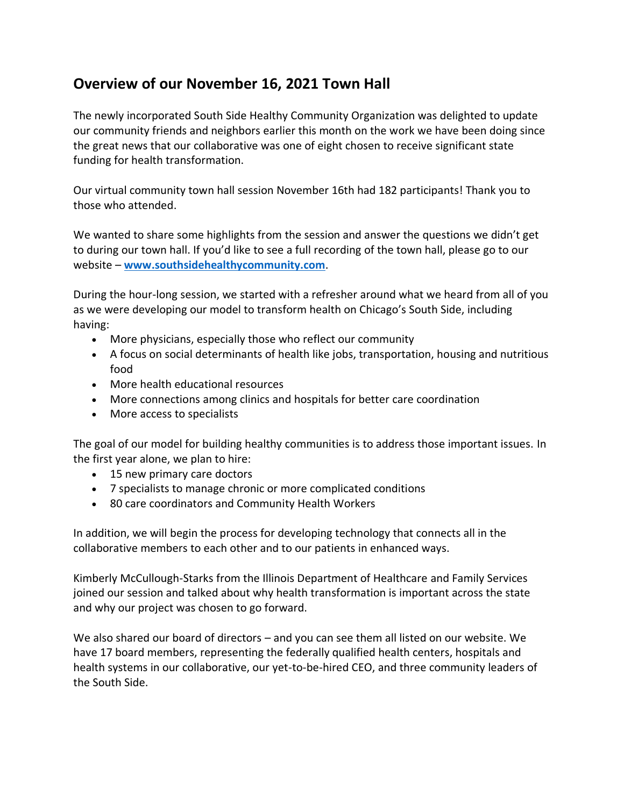## **Overview of our November 16, 2021 Town Hall**

The newly incorporated South Side Healthy Community Organization was delighted to update our community friends and neighbors earlier this month on the work we have been doing since the great news that our collaborative was one of eight chosen to receive significant state funding for health transformation.

Our virtual community town hall session November 16th had 182 participants! Thank you to those who attended.

We wanted to share some highlights from the session and answer the questions we didn't get to during our town hall. If you'd like to see a full recording of the town hall, please go to our website – **[www.southsidehealthycommunity.com](https://southsidehealthycommunity.com/community-engagement/)**.

During the hour-long session, we started with a refresher around what we heard from all of you as we were developing our model to transform health on Chicago's South Side, including having:

- More physicians, especially those who reflect our community
- A focus on social determinants of health like jobs, transportation, housing and nutritious food
- More health educational resources
- More connections among clinics and hospitals for better care coordination
- More access to specialists

The goal of our model for building healthy communities is to address those important issues. In the first year alone, we plan to hire:

- 15 new primary care doctors
- 7 specialists to manage chronic or more complicated conditions
- 80 care coordinators and Community Health Workers

In addition, we will begin the process for developing technology that connects all in the collaborative members to each other and to our patients in enhanced ways.

Kimberly McCullough-Starks from the Illinois Department of Healthcare and Family Services joined our session and talked about why health transformation is important across the state and why our project was chosen to go forward.

We also shared our board of directors – and you can see them all listed on our website. We have 17 board members, representing the federally qualified health centers, hospitals and health systems in our collaborative, our yet-to-be-hired CEO, and three community leaders of the South Side.